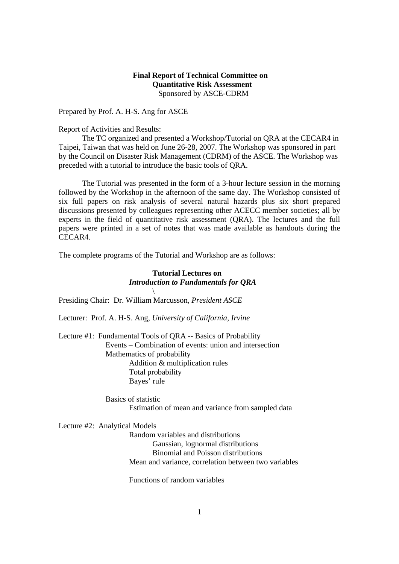## **Final Report of Technical Committee on Quantitative Risk Assessment** Sponsored by ASCE-CDRM

Prepared by Prof. A. H-S. Ang for ASCE

Report of Activities and Results:

 The TC organized and presented a Workshop/Tutorial on QRA at the CECAR4 in Taipei, Taiwan that was held on June 26-28, 2007. The Workshop was sponsored in part by the Council on Disaster Risk Management (CDRM) of the ASCE. The Workshop was preceded with a tutorial to introduce the basic tools of QRA.

 The Tutorial was presented in the form of a 3-hour lecture session in the morning followed by the Workshop in the afternoon of the same day. The Workshop consisted of six full papers on risk analysis of several natural hazards plus six short prepared discussions presented by colleagues representing other ACECC member societies; all by experts in the field of quantitative risk assessment (QRA). The lectures and the full papers were printed in a set of notes that was made available as handouts during the CECAR4.

The complete programs of the Tutorial and Workshop are as follows:

## **Tutorial Lectures on** *Introduction to Fundamentals for QRA*

Presiding Chair: Dr. William Marcusson, *President ASCE*

Lecturer: Prof. A. H-S. Ang, *University of California, Irvine* 

Lecture #1: Fundamental Tools of QRA -- Basics of Probability Events – Combination of events: union and intersection Mathematics of probability Addition & multiplication rules Total probability Bayes' rule

> Basics of statistic Estimation of mean and variance from sampled data

Lecture #2: Analytical Models

 $\sqrt{ }$ 

Random variables and distributions Gaussian, lognormal distributions Binomial and Poisson distributions Mean and variance, correlation between two variables

Functions of random variables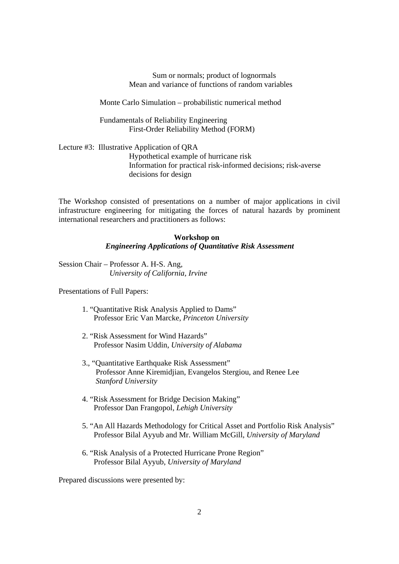Sum or normals; product of lognormals Mean and variance of functions of random variables

Monte Carlo Simulation – probabilistic numerical method

 Fundamentals of Reliability Engineering First-Order Reliability Method (FORM)

Lecture #3: Illustrative Application of QRA Hypothetical example of hurricane risk Information for practical risk-informed decisions; risk-averse decisions for design

The Workshop consisted of presentations on a number of major applications in civil infrastructure engineering for mitigating the forces of natural hazards by prominent international researchers and practitioners as follows:

## **Workshop on**  *Engineering Applications of Quantitative Risk Assessment*

Session Chair – Professor A. H-S. Ang, *University of California, Irvine* 

Presentations of Full Papers:

- 1. "Quantitative Risk Analysis Applied to Dams" Professor Eric Van Marcke, *Princeton University*
- 2. "Risk Assessment for Wind Hazards" Professor Nasim Uddin, *University of Alabama*
- 3., "Quantitative Earthquake Risk Assessment" Professor Anne Kiremidjian, Evangelos Stergiou, and Renee Lee *Stanford University*
- 4. "Risk Assessment for Bridge Decision Making" Professor Dan Frangopol, *Lehigh University*
- 5. "An All Hazards Methodology for Critical Asset and Portfolio Risk Analysis" Professor Bilal Ayyub and Mr. William McGill, *University of Maryland*
- 6. "Risk Analysis of a Protected Hurricane Prone Region" Professor Bilal Ayyub, *University of Maryland*

Prepared discussions were presented by: